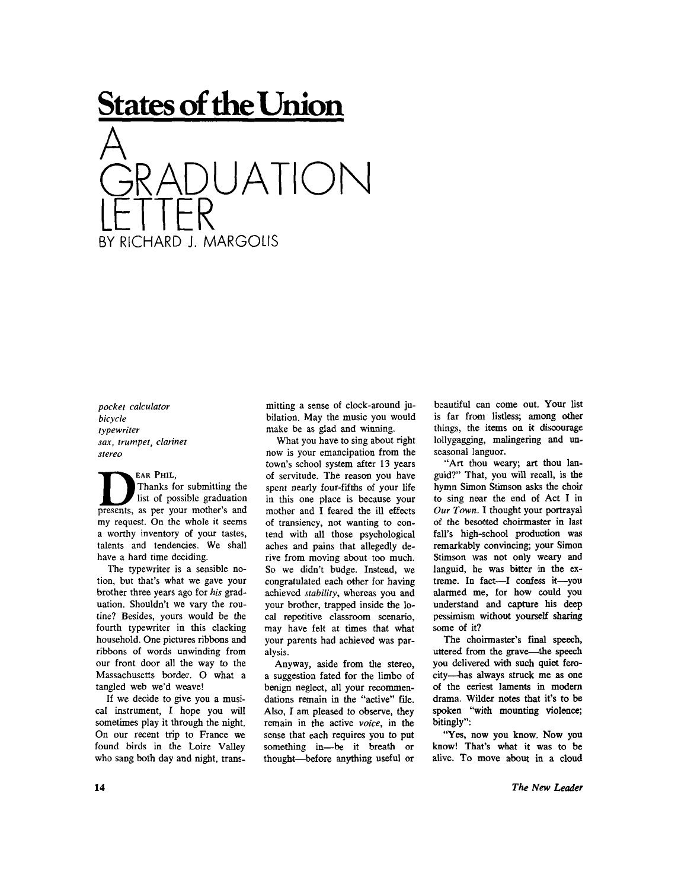## **States of the Union**



*pocket calculator bicycle typewriter sax, trumpet, clarinet stereo* 

**EAR PHIL, | Thanks for submitting the list of possible graduation presents, as per your mother's and my request. On the whole it seems a worthy inventory of your tastes, talents and tendencies. We shall have a hard time deciding.** 

**The typewriter is a sensible notion, but that's what we gave your brother three years ago for** *his* **graduation. Shouldn't we vary the routine? Besides, yours would be the fourth typewriter in this clacking household. One pictures ribbons and ribbons of words unwinding from our front door all the way to the Massachusetts border. O what a tangled web we'd weave!** 

**If we decide to give you a musical instrument, I hope you will sometimes play it through the night. On our recent trip to France we found birds in the Loire Valley who sang both day and night, trans-** **mitting a sense of clock-around jubilation. May the music you would make be as glad and winning.** 

**What you have to sing about right now is your emancipation from the town's school system after 13 years of servitude. The reason you have spent nearly four-fifths of your life in this one place is because your mother and I feared the ill effects of transiency, not wanting to contend with all those psychological aches and pains that allegedly derive from moving about too much. So we didn't budge. Instead, we congratulated each other for having achieved** *stability,* **whereas you and your brother, trapped inside the local repetitive classroom scenario, may have felt at times that what your parents had achieved was paralysis.** 

**Anyway, aside from the stereo, a suggestion fated for the limbo of benign neglect, all your recommendations remain in the "active" file. Also, I am pleased to observe, they remain in the active** *voice,* **in the sense that each requires you to put something in—be it breath or thought—before anything useful or**  **beautiful can come out. Your list is far from listless; among other things, the items on it discourage lollygagging, malingering and unseasonal languor.** 

**"Art thou weary; art thou languid?" That, you will recall, is the hymn Simon Stimson asks the choir to sing near the end of Act I in**  *Our Town.* **I thought your portrayal of the besotted choirmaster in last fall's high-school production was remarkably convincing; your Simon Stimson was not only weary and languid, he was bitter in the extreme. In fact—I confess it—you alarmed me, for how could you understand and capture his deep pessimism without yourself sharing some of it?** 

**The choirmaster's final speech, uttered from the grave—the speech you delivered with such quiet ferocity—has always struck me as one of the eeriest laments in modern drama. Wilder notes that it's to be spoken "with mounting violence; bitingly":** 

**"Yes, now you know. Now you know! That's what it was to be alive. To move about in a cloud**